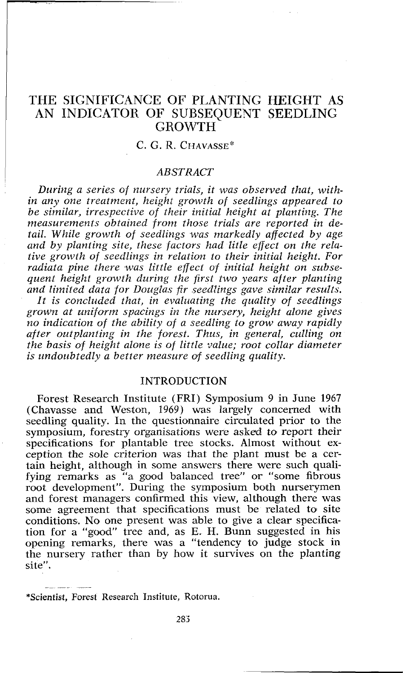# THE SIGNIFICANCE OF PLANTING HEIGHT AS AN INDICATOR OF SUBSEQUENT SEEDLING GROWTH

## C. G. R. CHAVASSE\*

### *ABSTRACT*

*During a series of nursery trials, it was observed that, within any one treatment, height growth of seedlings appeared to be similar, irrespective of their initial height at planting. The measurements obtained from those trials are reported in detail. While growth of seedlings was markedly affected by age and by planting site, these factors had litle effect on the relative growth of seedlings in relation to their initial height. For radiata pine there was little effect of initial height on subsequent height growth during the first two years after planting*  and limited data for Douglas fir seedlings gave similar results. *It is concluded that, in evaluating the quality of seedlings*  grown at uniform spacings in the nursery, height alone gives *no indication of the ability of a seedling to grow away rapidly after outplanling in the forest. Thus, in general, culling on the basis of height alone is of little value; root collar diameter is undoubtedly a better measure of seedling quality.* 

### INTRODUCTION

Forest Research Institute (FRI) Symposium 9 in June 1967 (Chavasse and Westoa, 1969) was largely concerned with seedling quality. In the questionnaire circulated prior to the symposium, forestry organisations were asked to report their specifications for plantable tree stocks. Almost without exception the sole criterion was that the plant must be a certain height, although in some answers there were such qualifying remarks as "a good balanced tree" or "some fibrous root development". During the symposium both nurserymen and forest managers confirmed this view, although there was some agreement that specifications must be related to site conditions. No one present was able to give a clear specification for a "good" tree and, as E. H. Bunn suggested in his opening remarks, there was a "tendency to judge stock in the nursery rather than by how it survives on the planting site".

\*Scientist, Forest Research Institute, Rotorua.

-- -- --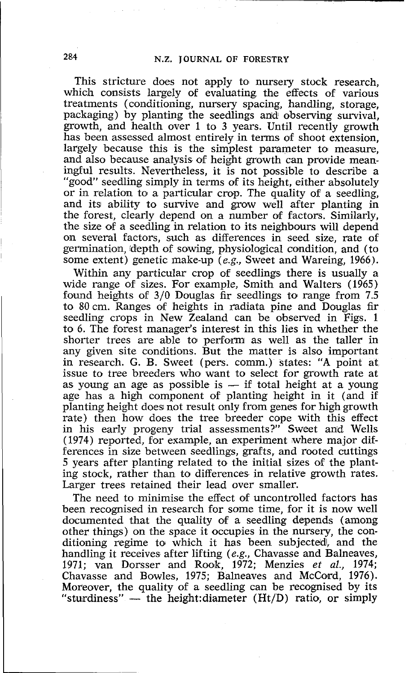This stricture does not apply to nursery stock research, which consists largely of evaluating the effects of various treatments (conditioning, nursery spacing, handling, storage, packaging) by planting the seedlings anld observing survival, growth, and health over 1 to 3 years. Until recently growth has been assessed almost entirely in terms of shoot extension, largely because this is the simplest parameter to measure. and also because analysis of height growth can provide meaningful results. Nevertheless, it is not possible to describe a "good" seedling simply in terms of its height, either absolutely or in relation to a particular crop. The quality of a seedling, and its ability to survive and grow well after planting in the forest, clearly depend on a number of factors. Similarly, the size of a seedling in relation to its neighbours will depend on several factors, such as differences in seed size, rate of germination, depth of sowing, physiological condition, and (to some extent) genetic make-up (e.g., Sweet and Wareing, 1966).

Within any particular crop of seedlings there is usually a wide range of sizes. For example, Smith and Walters (1965) found heights of  $3/0$  Douglas fir seedlings to range from 7.5 to 80 cm. Ranges of heights in radiata pine and Douglas fir seedling crops in New Zealand can be observed in Figs. 1 to *6.* The forest manager's interest in this lies in whether the shorter trees are able to perform as well as the taller in any given site conditions. But the matter is also important in research. G. B. Sweet (pers. comm.) states: "A point at issue to tree breeders who want to select for growth rate at as young an age as possible is — if total height at a young are has a high component of planting heigh issue to tree breeders who want to select for growth rate at as young an age as possible is  $-$  if total height at a young age has a high component of planting height in it (and if planting height does not result only from genes for high growth rate) then how does the tree breeder cope with this effect in his early progeny trial assessments?" Sweet anid Wells (1974) reported, for example, an experiment where major differences in size between seedlings, grafts, and rooted cuttings 5 years after planting related to the initial sizes of the planting stock, rather than to differences in relative growth rates. Larger trees retained their lead over smaller.

The need to minimise the effect of uncontrolled factors has been recognised in research for some time, for it is now well documented that the quality of a seedling depends (among other things) on the space it occupies in the nursery, the conditioning regime to which it has been subjected, and the handling it receives after lifting (e.g., Chavasse and Balneaves, 1971; van Dorsser and Roolk, 1972; Menzies et *al.,* 1974; Chavasse and Bowles, 1975; Balneaves and McCord, 1976). Moreover, the quality of a seedling can be recognised by its Chavasse and Bowles, 1975; Balneaves and McCord, 1976).<br>Moreover, the quality of a seedling can be recognised by its<br>"sturdiness" — the height:diameter (Ht/D) ratio, or simply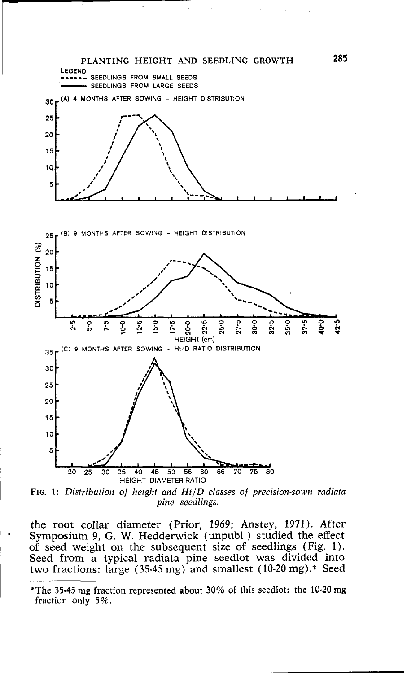

*FIG. 1: Distribution of height and HtlD classes of precision-sown radiata pine seedlings.* 

the root collar diameter (Prior, 1969; Anstey, 1971). After Symposium 9, G. W. Hedderwick (unpubl.) studied the effect of seed weight on the subsequent size of seedlings (Fig. 1). Seed from a typical radiata pine seedlot was divided into two fractions: large (35-45 mg) and smallest (10-20 mg).\* Seed

<sup>\*</sup>The **35-45** rng fraction represented about 30% of this seedlot: the 10-20 mg fraction only 5%.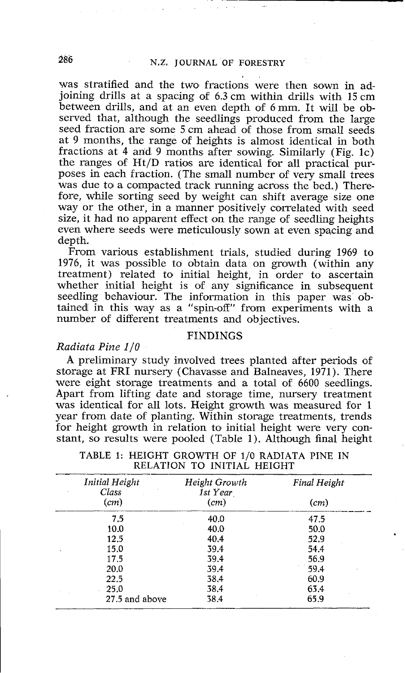was stratified and the two fractions were then sown in adjoining drills at a spacing of 6.3 cm within drills with 15 cm between drills, and at an even depth of 6 mm. It will be observed that, although the seedlings produced from the large seed fraction are some 5 cm ahead of those from small seeds at 9 months, the range of heights is almost identical in both fractions at 4 and 9 months after sowing. Similarly (Fig. 1c) the ranges of Ht/D ratios are identical for all practical purposes in each fraction. (The small number of very small trees was due to a compacted track running across the bed.) Therefore, while sorting seed by weight can shift average size one way or the other, in a manner positively correlated with seed size, it had no apparent effect on the range of seedling heights even where seeds were meticulously sown at even spacing and depth.

From various establishment trials, studied during 1969 to 1976, it was possible to obtain data on growth (within any treatment) related to initial height, in order to ascertain whether initial height is ot any significance in subsequent seedling behaviour. The information in this paper was obtaineld in this way as a "spin-off" from experiments with a number of different treatments and objectives.

#### FINDINGS

### **Radiata Pine** *110*

A preliminary study involved trees planted after periods of storage at FRI nursery (Chavasse and Balneaves, 1971). There were eight storage treatments and a total of 6600 seedlings. Apart from lifting date and storage time, nursery treatment was identical for all lots. Height growth was measured for 1 year from date of planting. Within storage treatments, trends for height growth in relation to initial height were very constant, so results were pooled (Table 1). Although final height

| Initial Height<br>Class | Height Growth<br>1st Year | <b>Final Height</b> |
|-------------------------|---------------------------|---------------------|
| (cm)                    | (cm)                      | (cm)                |
| 7.5                     | 40.0                      | 47.5                |
| 10.0                    | 40.0                      | 50.0                |
| 12.5                    | 40.4                      | 52.9                |
| 15.0                    | 39.4                      | 54.4                |
| 17.5                    | 39.4                      | 56.9                |
| 20.0                    | 39.4                      | 59.4                |
| 22.5                    | 38.4                      | 60.9                |
| 25.0                    | 38.4                      | 63.4                |
| 27.5 and above          | 38.4                      | 65.9                |

TABLE 1: HEIGHT GROWTH OF 1/0 RADIATA PINE IN RELATION TO INITIAL HEIGHT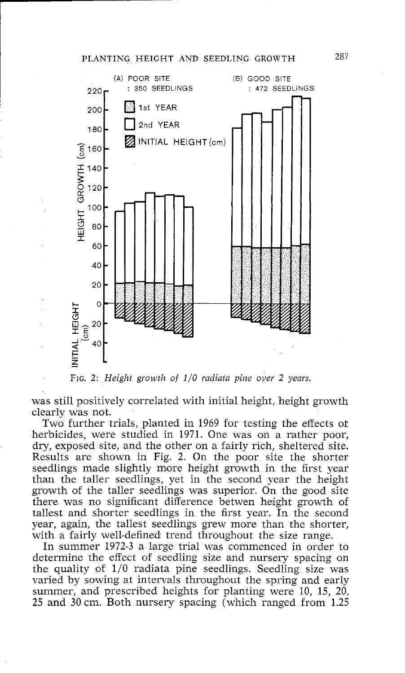### PLANTING HEIGHT AND SEEDLING GROWTH *267*



FIG. 2: *Height growth of 1/0 radiata pine over 2 years.* 

was still positively correlated with initial height, height growth clearly was not.

Two further trials, planted in 1969 for testing the effects of herbicides, were studied in 1971. One was on a rather poor, dry, exposed site, and the other on a fairly rich, sheltered site. Results are shown in Fig. 2. On the poor site the shorter seedlings made slightly more height growth in the first year than the taller seedlings, yet in the second year the height growth of the taller seedlings was superior. On the good site there was no significant difference betwen height growth of tallest and shorter seedlings in the first year. In the second year, again, the tallest seedlings grew more than the shorter, with a fairly well-defined trend throughout the size range.

In summer 1972-3 a large trial was commenced in order to determine the effect of seedling size and nursery spacing on the quality of  $1/0$  radiata pine seedlings. Seedling size was varied by sowing at intervals throughout the spring and early summer, and prescribed heights for planting were 10, 15, 20, **25** and 30 cm. Both nursery spacing (which ranged from 1.25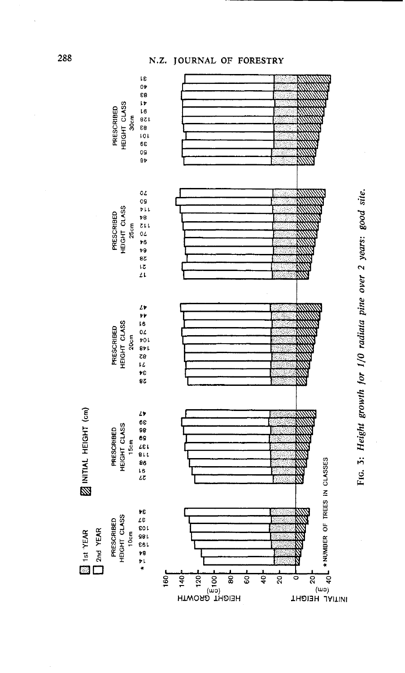# **N.Z. JOURNAL OF FORESTRY**



288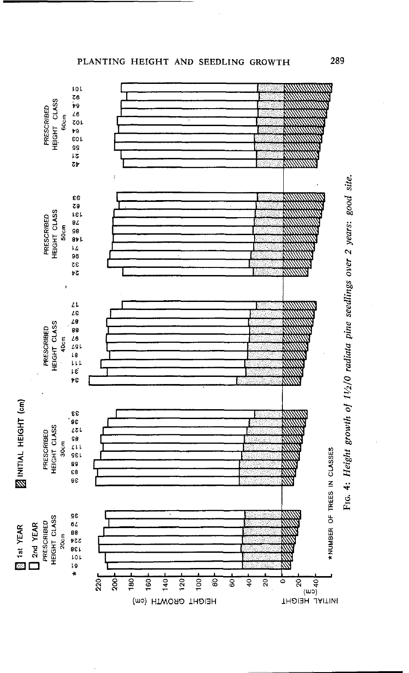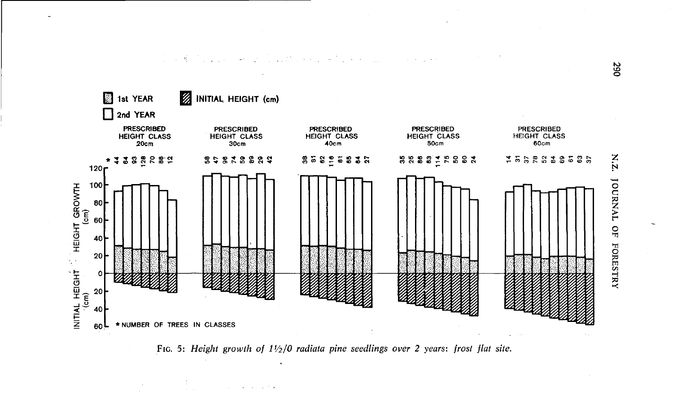

FIG. 5: Height growth of  $1\frac{1}{2}$  adiata pine seedlings over 2 years: frost flat site.

 $Z'N$ **JOURNAL** QF **FORESTRY**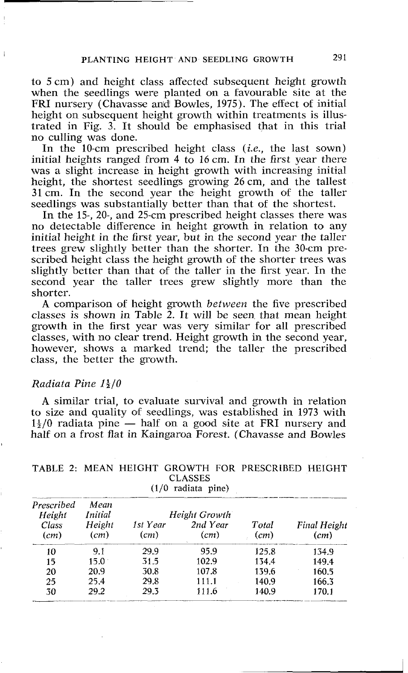to 5 cm) and height class affected subsequent height growth when the seedlings were planted **oa** a favourable site at the FRI nursery (Chavasse and Bowles, 1975). The effect of initial height on subsequent height growth within treatments is illustrated in Fig. 3. It should be emphasised that in this trial no culling was done.

In the 10-cm prescribed height class *(i.e.,* the last sown) initial heights ranged from  $4$  to 16 cm. In the first year there was a slight increase in height growth with increasing initial height, the shortest seedlings growing 26 cm, and the tallest 31 cm. In the second year the height growth of the taller seedlings was substantially better than that of the shortest.

In the 15-, 20-, and 25-cm prescribed height classes there was no detectable difference in height growth in relation to any initial height in the first year, but in the second year the taller trees grew slightly better than the shorter. In the 30-cm prescribed height class the height growth of the shorter trees was slightly better than that of the taller in the first year. In the second year the taller trees grew slightly more than the shorter.

**A** comparison oif height growth *between* the five prescribed classes is shown in Table 2. It will be seen that mean height growth in the first year was very similar for all prescribed classes, with no clear trend. Height growth in the second year, however, shows a marked trend; the taller the prescribed class, the better the growth.

### *Radiata Pine 1\*14/0

**A** similar trial, to evaluate survival and growth in relation to size and quality of seedlings, was established in 1973 with A similar trial, to evaluate survival and growth in relation<br>to size and quality of seedlings, was established in 1973 with<br> $1\frac{1}{2}/0$  radiata pine — half on a good site at FRI nursery and<br>half on a frost flat in Kaingar half on a frost flat in Kaingaroa Forest. (Chavasse and Bowles

| Prescribed<br>Height | Mean<br>Initial |                  | Height Growth    |               |                             |
|----------------------|-----------------|------------------|------------------|---------------|-----------------------------|
| Class<br>(cm)        | Height<br>(cm)  | 1st Year<br>(cm) | 2nd Year<br>(cm) | Total<br>(cm) | <b>Final Height</b><br>(cm) |
| 10                   | 9.1             | 29.9             | 95.9             | 125.8         | 134.9                       |
| 15                   | $15.0^{\circ}$  | 31.5             | 102.9            | 134.4         | 149.4                       |
| 20                   | 20.9            | 30.8             | 107.8            | 139.6         | 160.5                       |
| 25                   | 25.4            | 29.8             | 111.1            | 140.9         | 166.3                       |
| 30                   | 29.2            | 29.3             | 111.6            | 140.9         | 170.1                       |

# TABLE 2: MEAN HEIGHT GROWTH FOR PRESCRIBED HEIGHT CLASSES

*(110* radiata pine)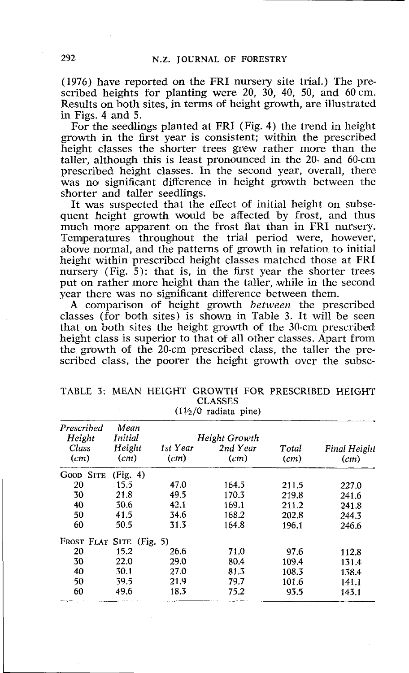(1976) have reported on the FRI nursery site trial.) The prescribed heights for planting were 20, 30, 40, 50, and 60 cm. Results on both sites, in terms of height growth, are illustrated in Figs. 4 and 5.

For the seedlings planted at FRI (Fig. 4) the trend in height growth in the first year is consistent; within the prescribed height classes the shorter trees grew rather more than the taller, although this is least pronounced in the 20- and 60-cm prescribed height classes. In the second year, overall, there was no significant difference in height growth between the shorter and taller seedlings.

It was suspected that the effect of initial height on subsequent height growth would be affected by frost, and thus much more apparent on the frost flat than in FRI nursery. Temperatures throughout the trial period were, however, above normal, and the patterns of growth in relation to initial height within prescribed height classes matched those at FRI nursery (Fig. 5): that is, in the first year the shorter trees put on rather more height than the taller, while in the second year there was no significant difference between them.

**A** comparison of height growth *between* the prescribed classes (for both sites) is shown in Table 3. It will be seen that on both sites the height growth of the 30-cm prescribed height class is superior to that of all other classes. Apart from the growth of the 20-cm prescribed class, the taller the prescribed class, the poorer the height growth over the subse-

|  |  |                                | TABLE 3: MEAN HEIGHT GROWTH FOR PRESCRIBED HEIGHT |  |
|--|--|--------------------------------|---------------------------------------------------|--|
|  |  | <b>CLASSES</b>                 |                                                   |  |
|  |  | $(1\frac{1}{2})$ radiata pine) |                                                   |  |

| Prescribed               | Mean     |          |               |       |                     |
|--------------------------|----------|----------|---------------|-------|---------------------|
| Height                   | Initial  |          | Height Growth | Total | <b>Final Height</b> |
| Class                    | Height   | 1st Year | 2nd Year      |       |                     |
| (cm)                     | (cm)     | (cm)     | (cm)          | (cm)  | (cm)                |
| Good SITE                | (Fig. 4) |          |               |       |                     |
| 20                       | 15.5     | 47.0     | 164.5         | 211.5 | 227.0               |
| 30                       | 21.8     | 49.5     | 170.3         | 219.8 | 241.6               |
| 40                       | 30.6     | 42.1     | 169.1         | 211.2 | 241.8               |
| 50                       | 41.5     | 34.6     | 168.2         | 202.8 | 244.3               |
| 60                       | 50.5     | 31.3     | 164.8         | 196.1 | 246.6               |
| FROST FLAT SITE (Fig. 5) |          |          |               |       |                     |
| 20                       | 15.2     | 26.6     | 71.0          | 97.6  | 112.8               |
| 30                       | 22.0     | 29.0     | 80.4          | 109.4 | 131.4               |
| 40                       | 30.1     | 27.0     | 81.3          | 108.3 | 138.4               |
| 50                       | 39.5     | 21.9     | 79.7          | 101.6 | 141.1               |
| 60                       | 49.6     | 18.3     | 75.2          | 93.5  | 143.1               |
|                          |          |          |               |       |                     |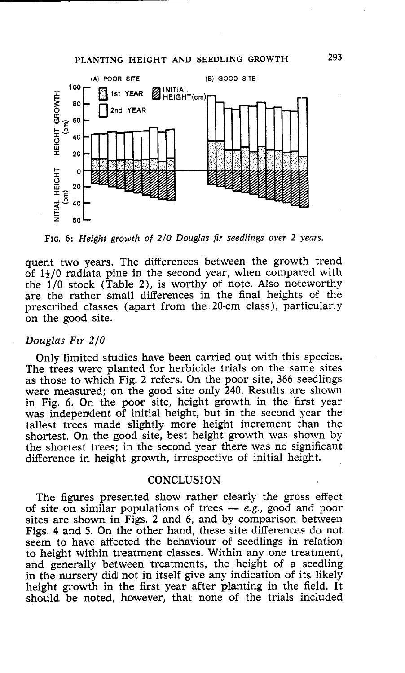# **PLANTING HEIGHT AND SEEDLING GROWTH 293**



**FIG.** *6: Height growth of 2/0 Douglas fir seedlings over 2 years.* 

quent two years. The differences between the growth trend of  $1\frac{1}{2}$ /0 radiata pine in the second year, when compared with the  $1/0$  stock (Table 2), is worthy of note. Also noteworthy are the rather small differences in the final heights of the prescribed classes (apart from the 20-cm class), particularly on the good site.

#### *Douglas* **Fir** 210

Only limited studies have been carried out with this species. The trees were planted for herbicide trials on the same sites as those to which Fig. 2 refers. On the poor site, 366 seedlings were measured; on the good site only 240. Results are shown in Fig. 6. On the poor site, height growth in the first year was independent of initial height, but in the second year the tallest trees made slightly more height increment than the shortest. On the good site, best height growth was shown by the shortest trees; in the second year there was no significant difference in height growth, irrespective of initial height.

### **CONCLUSION**

The figures presented show rather clearly the gross effect of site on similar populations of trees - *e.g.*, good and poor sites are shown in Figs. 2 and 6, and by comparison between Figs. 4 and 5. On the other hand, these site differences do not seem to have affected the behaviour of seedlings in relation to height within treatment classes. Within any one treatment, and generally between treatments, the height of a seedling in the nursery did not in itself give any indication of its likely height growth in the first year after planting in the field. It should be noted, however, that none of the trials included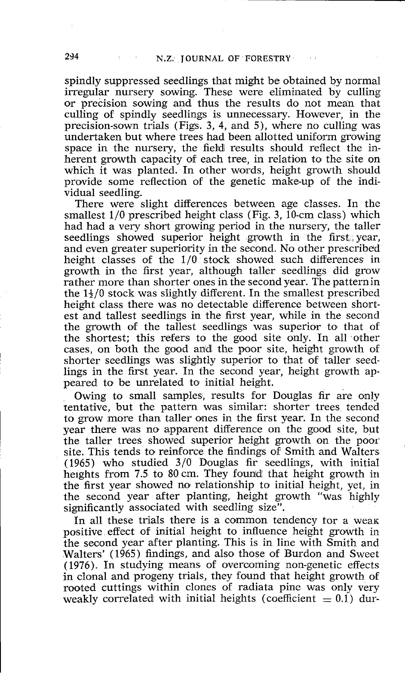spindly suppressed seedlings that might be obtained by normal irregular nursery sowing. These were eliminated by culling o'r precision sowing and thus the results do not mean that culling of spindly seedlings is unnecessary. However, in the precision-sown trials (Figs. **3,** 4, and 5), where no culling was undertaken but where trees had been allotted uniform growing space in the nursery, the field results should reflect the inherent growth capacity of each tree, in relation to the site on which it was planted. In other words, height growth should provide some reflection of the genetic make-up of the individual seedling.

There were slight differences between age classes. In the smallest  $1/0$  prescribed height class (Fig. 3,  $10$ -cm class) which had had a very short growing period in the nursery, the taller seedlings showed superior height growth in the first year, and even greater superiority in the second. No other prescribed height classes of the  $1/0$  stock showed such differences in growth in the first year, although taller seedlings did grow rather more than shorter ones in the second year. The patternin the  $1\frac{1}{2}/0$  stock was slightly different. In the smallest prescribed height class there was no detectable difference between shortest and tallest seedlings in the first year, while in the second the growth of the tallest seedlings was superior to that of the shortest; this refers to the good site only. In all other cases, on both the good and the poor site, height growth of shorter seedlings was slightly superior to that of taller seedlings in the first year. In the second year, height growth appeared to be unrelated to initial height.

Owing to small samples, results for Douglas fir are only tentative, but the pattern was similar: shorter trees tended to grow more than taller ones in the first year. In the second year there was no apparent difference on the good site, but the taller trees showed superior height growth on the poor site. This tends to reinforce the findings of Smith and Walters  $(1965)$  who studied  $3/0$  Douglas fir seedlings, with initial heights from 7.5 to 80 cm. They found that height growth in the first year showed no relationship to initial height, yet, in the second year after planting, height growth "was highly significantly associated with seedling size".

In all these trials there is a common tendency tor a weak positive effect of initial height to influence height growth in the second year after planting. This is in line with Smith and Walters' (1965) findings, and also those of Burdon and Sweet (1976). In studying means of overcoming non-genetic effects in clonal and progeny trials, they found that height growth of rooted cuttings within clones of radiata pine was only very weakly correlated with initial heights (coefficient  $= 0.1$ ) dur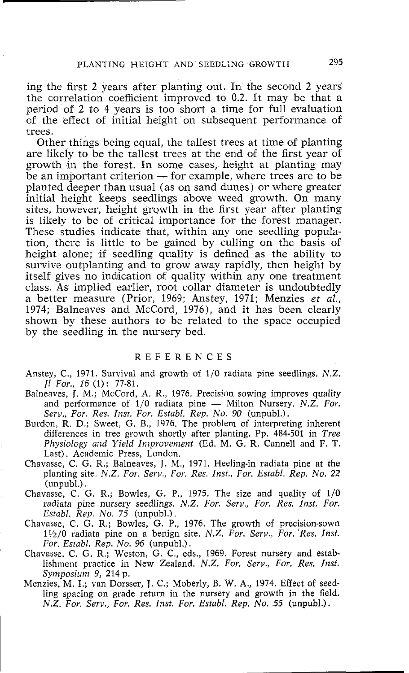ing the first 2 years after planting out. In the second 2 years the correlation coefficient improved to 0.2. It may be that a period of 2 to 4 years is too short a time for full evaluation of the effect of initial height on subsequent performance of trees.

Other things being equal, the tallest trees at time of planting are likely to be the tallest trees at the end of the first year of growth in the forest. In some cases, height at planting may are likely to be the tallest trees at the end of the first year of<br>growth in the forest. In some cases, height at planting may<br>be an important criterion — for example, where trees are to be<br>planted deeper than usual (as on planted deeper than usual (as on sand dunes) or where greater initial height keeps seedlings above weed growth. On many sites, however, height growth in the first year after planting is likely to be of critical importance for the forest manager. These studies indicate that, within any one seedling population, there is little to be gained by culling on the basis of height alone; if seedling quality is defined as the ability to survive outplanting and to grow away rapidly, then height by itself gives no indication of quality within any one treatment class. As implied earlier, root collar diameter is undoubtedly a better measure (Prior, 1969; Anstey, 1971; Menzies et *al.,*  1974; Balneaves and McCord, 1976), and it has been clearly shown by these authors to be related to the space occupied by the seedling in the nursery bed.

#### REFERENCES

- Anstey, C., 1971. Survival and growth of 1/0 radiata pine seedlings. N.Z. *Jl For., 16* (1) : 77-81.
- Balneaves, J. M.; McCord, A. R., 1976. Precision sowing improves quality *Jl For., 16* (1): 77-81.<br>eaves, J. M.; McCord, A. R., 1976. Precision sowing improves quality<br>and performance of 1/0 radiata pine — Milton Nursery. *N.Z. For.*<br>*Serv., For. Res. Inst. For. Establ. Rep. No. 90* (unpubl.).
- Burdon, R. D.; Sweet, G. B., 1976. The problem of interpreting inherent differences in tree growth shortly after planting. Pp. 484-501 in *Tree Physiology and Yield Improvement* (Ed. M. *G.* R. Cannell and F. T. Last). Academic Press, London.
- Chavasse, C. G. R.; Balneaves, J. M., 1971. Heeling-in radiata pine at the planting site. *N.Z. For. Serv., For. Res. Inst., For. Establ. Rep. No. 22*  (unpubl.).  $\Box$  Chavasse, C. G. R.; Bowles, G. P., 1975. The size and quality of  $1/0$
- radiata pine nursery seedlings. *N.Z. For. Serv., For. Res. Inst. For. Establ. Rep. No. 75* (unpubl.).
- Chavasse, C. G. R.; Bowles, G. P., 1976. The growth of precision-sown 11/2/0 radiata pine on a benign site. *N.Z. For. Serv., For. Res. Inst. For. Establ. Rep. No. 96* (unpubl.).
- Chavasse, C. G. R.; Weston, G. C., eds., 1969. Forest nursery and establishment practice in New ZeaIand. *N.Z. For. Serv., For. Res. Inst. Symposium 9,* 214 p.
- Menzies, M. I.; van Dorsser, J. C.; Moberly, B. W. **A,,** 1974. Effect of seedling spacing on grade return in the nursery and growth in the field. *N.Z. For. Serv., For. Res. Inst. For. Establ. Rep. No. 55* (unpubl.).